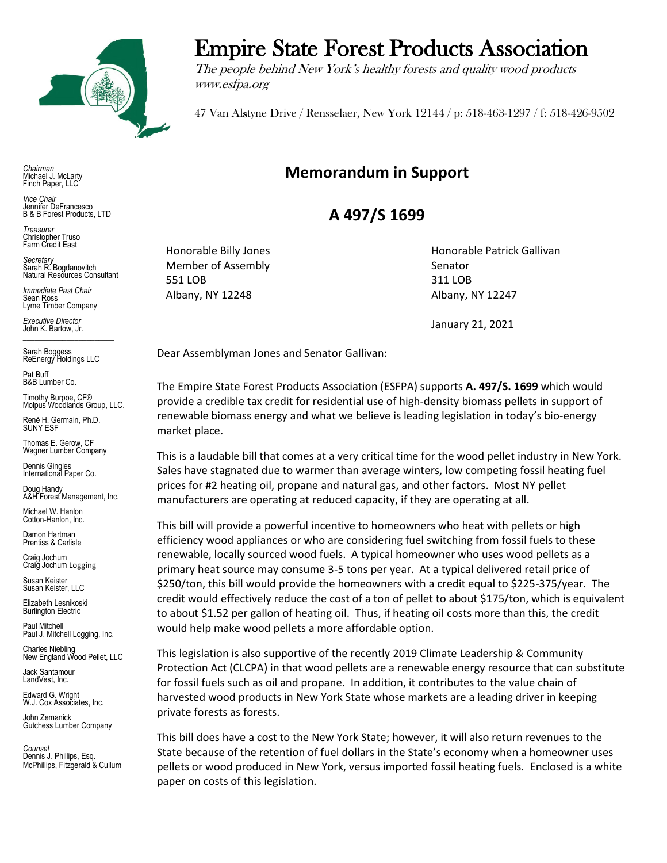

*Chairman* Michael J. McLarty Finch Paper, LLC

*Vice Chair* Jennifer DeFrancesco B & B Forest Products, LTD

*Treasurer* Christopher Truso Farm Credit East

*Secretary* Sarah R. Bogdanovitch Natural Resources Consultant

*Immediate Past Chair* Sean Ross Lyme Timber Company

*Executive Director* John K. Bartow, Jr.  $\mathcal{L}_\text{max}$  , we can also the set of the set of the set of the set of the set of the set of the set of the set of the set of the set of the set of the set of the set of the set of the set of the set of the set of the se

Sarah Boggess ReEnergy Holdings LLC

Pat Buff B&B Lumber Co.

Timothy Burpoe, CF® Molpus Woodlands Group, LLC.

Renè H. Germain, Ph.D. SUNY ESF

Thomas E. Gerow, CF Wagner Lumber Company

Dennis Gingles International Paper Co.

Doug Handy A&H Forest Management, Inc.

Michael W. Hanlon Cotton-Hanlon, Inc.

Damon Hartman Prentiss & Carlisle

Craig Jochum Craig Jochum Logging

Susan Keister Susan Keister, LLC

Elizabeth Lesnikoski **Burlington Electric** 

Paul Mitchell Paul J. Mitchell Logging, Inc.

Charles Niebling New England Wood Pellet, LLC

Jack Santamour LandVest, Inc.

Edward G. Wright W.J. Cox Associates, Inc.

John Zemanick Gutchess Lumber Company

*Counsel* Dennis J. Phillips, Esq. McPhillips, Fitzgerald & Cullum

## Empire State Forest Products Association

The people behind New York's healthy forests and quality wood products www.esfpa.org

47 Van Alstyne Drive / Rensselaer, New York 12144 / p: 518-463-1297 / f: 518-426-9502

## **Memorandum in Support**

## **A 497/S 1699**

Member of Assembly Senator 551 LOB 311 LOB Albany, NY 12248 Albany, NY 12247

Honorable Billy Jones **Honorable Patrick Gallivan** 

January 21, 2021

Dear Assemblyman Jones and Senator Gallivan:

The Empire State Forest Products Association (ESFPA) supports **A. 497/S. 1699** which would provide a credible tax credit for residential use of high-density biomass pellets in support of renewable biomass energy and what we believe is leading legislation in today's bio-energy market place.

This is a laudable bill that comes at a very critical time for the wood pellet industry in New York. Sales have stagnated due to warmer than average winters, low competing fossil heating fuel prices for #2 heating oil, propane and natural gas, and other factors. Most NY pellet manufacturers are operating at reduced capacity, if they are operating at all.

This bill will provide a powerful incentive to homeowners who heat with pellets or high efficiency wood appliances or who are considering fuel switching from fossil fuels to these renewable, locally sourced wood fuels. A typical homeowner who uses wood pellets as a primary heat source may consume 3-5 tons per year. At a typical delivered retail price of \$250/ton, this bill would provide the homeowners with a credit equal to \$225-375/year. The credit would effectively reduce the cost of a ton of pellet to about \$175/ton, which is equivalent to about \$1.52 per gallon of heating oil. Thus, if heating oil costs more than this, the credit would help make wood pellets a more affordable option.

This legislation is also supportive of the recently 2019 Climate Leadership & Community Protection Act (CLCPA) in that wood pellets are a renewable energy resource that can substitute for fossil fuels such as oil and propane. In addition, it contributes to the value chain of harvested wood products in New York State whose markets are a leading driver in keeping private forests as forests.

This bill does have a cost to the New York State; however, it will also return revenues to the State because of the retention of fuel dollars in the State's economy when a homeowner uses pellets or wood produced in New York, versus imported fossil heating fuels. Enclosed is a white paper on costs of this legislation.